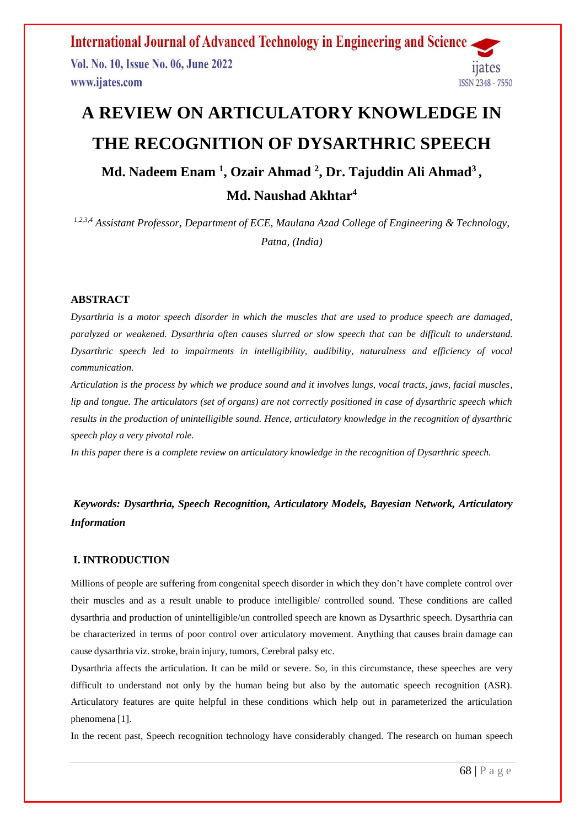**International Journal of Advanced Technology in Engineering and Science** Vol. No. 10, Issue No. 06, June 2022 11ates www.ijates.com **ISSN 2348 - 7550** 

# **A REVIEW ON ARTICULATORY KNOWLEDGE IN THE RECOGNITION OF DYSARTHRIC SPEECH**

# **Md. Nadeem Enam <sup>1</sup> , Ozair Ahmad <sup>2</sup> , Dr. Tajuddin Ali Ahmad<sup>3</sup> , Md. Naushad Akhtar<sup>4</sup>**

*1,2,3,4 Assistant Professor, Department of ECE, Maulana Azad College of Engineering & Technology, Patna, (India)*

# **ABSTRACT**

*Dysarthria is a motor speech disorder in which the muscles that are used to produce speech are damaged, paralyzed or weakened. Dysarthria often causes slurred or slow speech that can be difficult to understand. Dysarthric speech led to impairments in intelligibility, audibility, naturalness and efficiency of vocal communication.*

*Articulation is the process by which we produce sound and it involves lungs, vocal tracts, jaws, facial muscles, lip and tongue. The articulators (set of organs) are not correctly positioned in case of dysarthric speech which results in the production of unintelligible sound. Hence, articulatory knowledge in the recognition of dysarthric speech play a very pivotal role.*

*In this paper there is a complete review on articulatory knowledge in the recognition of Dysarthric speech.*

# *Keywords: Dysarthria, Speech Recognition, Articulatory Models, Bayesian Network, Articulatory Information*

# **I. INTRODUCTION**

Millions of people are suffering from congenital speech disorder in which they don't have complete control over their muscles and as a result unable to produce intelligible/ controlled sound. These conditions are called dysarthria and production of unintelligible/un controlled speech are known as Dysarthric speech. Dysarthria can be characterized in terms of poor control over articulatory movement. Anything that causes brain damage can cause dysarthria viz. stroke, brain injury, tumors, Cerebral palsy etc.

Dysarthria affects the articulation. It can be mild or severe. So, in this circumstance, these speeches are very difficult to understand not only by the human being but also by the automatic speech recognition (ASR). Articulatory features are quite helpful in these conditions which help out in parameterized the articulation phenomena [1].

In the recent past, Speech recognition technology have considerably changed. The research on human speech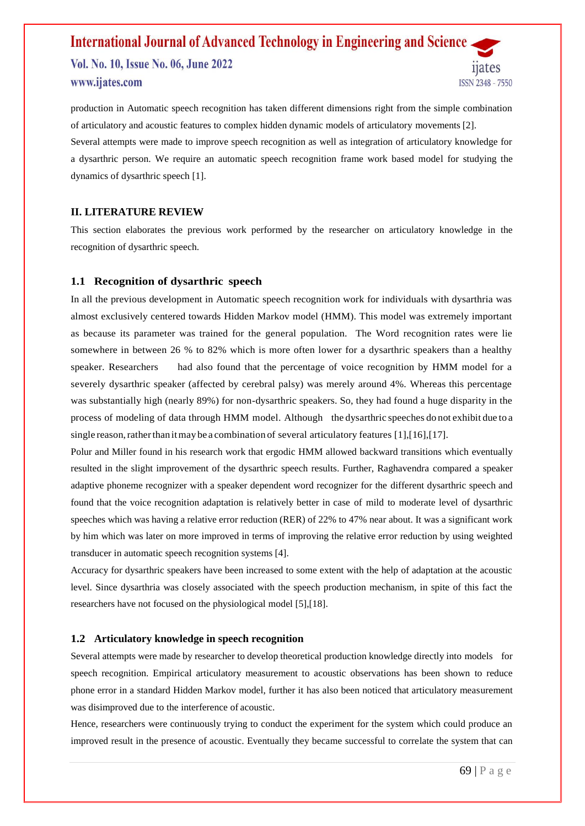Vol. No. 10, Issue No. 06, June 2022 www.ijates.com

11ates **ISSN 2348 - 7550** 

production in Automatic speech recognition has taken different dimensions right from the simple combination of articulatory and acoustic features to complex hidden dynamic models of articulatory movements [2]. Several attempts were made to improve speech recognition as well as integration of articulatory knowledge for a dysarthric person. We require an automatic speech recognition frame work based model for studying the dynamics of dysarthric speech [1].

### **II. LITERATURE REVIEW**

This section elaborates the previous work performed by the researcher on articulatory knowledge in the recognition of dysarthric speech.

#### **1.1 Recognition of dysarthric speech**

In all the previous development in Automatic speech recognition work for individuals with dysarthria was almost exclusively centered towards Hidden Markov model (HMM). This model was extremely important as because its parameter was trained for the general population. The Word recognition rates were lie somewhere in between 26 % to 82% which is more often lower for a dysarthric speakers than a healthy speaker. Researchers had also found that the percentage of voice recognition by HMM model for a severely dysarthric speaker (affected by cerebral palsy) was merely around 4%. Whereas this percentage was substantially high (nearly 89%) for non-dysarthric speakers. So, they had found a huge disparity in the process of modeling of data through HMM model. Although the dysarthric speeches do not exhibit due to a single reason, rather than it may be a combination of several articulatory features  $[1]$ ,  $[16]$ ,  $[17]$ .

Polur and Miller found in his research work that ergodic HMM allowed backward transitions which eventually resulted in the slight improvement of the dysarthric speech results. Further, Raghavendra compared a speaker adaptive phoneme recognizer with a speaker dependent word recognizer for the different dysarthric speech and found that the voice recognition adaptation is relatively better in case of mild to moderate level of dysarthric speeches which was having a relative error reduction (RER) of 22% to 47% near about. It was a significant work by him which was later on more improved in terms of improving the relative error reduction by using weighted transducer in automatic speech recognition systems [4].

Accuracy for dysarthric speakers have been increased to some extent with the help of adaptation at the acoustic level. Since dysarthria was closely associated with the speech production mechanism, in spite of this fact the researchers have not focused on the physiological model [5],[18].

#### **1.2 Articulatory knowledge in speech recognition**

Several attempts were made by researcher to develop theoretical production knowledge directly into models for speech recognition. Empirical articulatory measurement to acoustic observations has been shown to reduce phone error in a standard Hidden Markov model, further it has also been noticed that articulatory measurement was disimproved due to the interference of acoustic.

Hence, researchers were continuously trying to conduct the experiment for the system which could produce an improved result in the presence of acoustic. Eventually they became successful to correlate the system that can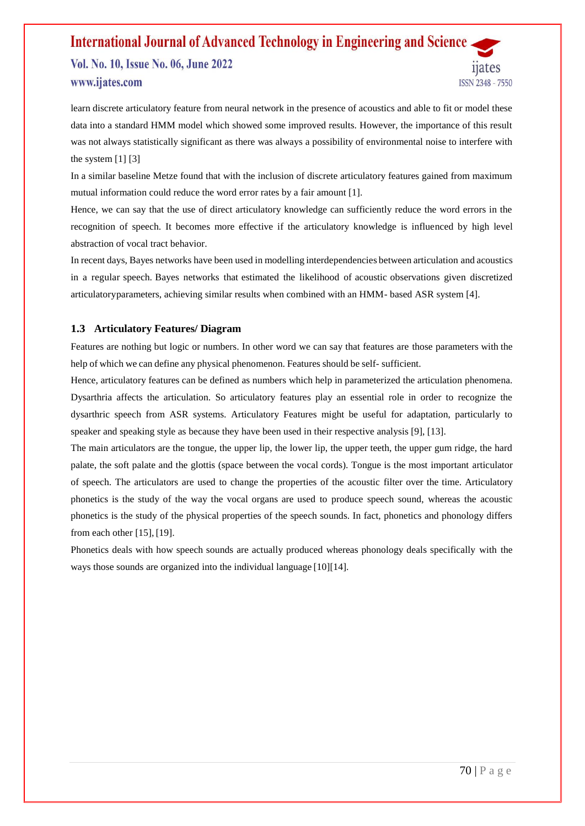Vol. No. 10, Issue No. 06, June 2022 www.ijates.com

learn discrete articulatory feature from neural network in the presence of acoustics and able to fit or model these data into a standard HMM model which showed some improved results. However, the importance of this result was not always statistically significant as there was always a possibility of environmental noise to interfere with the system  $[1] [3]$ 

In a similar baseline Metze found that with the inclusion of discrete articulatory features gained from maximum mutual information could reduce the word error rates by a fair amount [1].

Hence, we can say that the use of direct articulatory knowledge can sufficiently reduce the word errors in the recognition of speech. It becomes more effective if the articulatory knowledge is influenced by high level abstraction of vocal tract behavior.

In recent days, Bayes networks have been used in modelling interdependencies between articulation and acoustics in a regular speech. Bayes networks that estimated the likelihood of acoustic observations given discretized articulatoryparameters, achieving similar results when combined with an HMM- based ASR system [4].

### **1.3 Articulatory Features/ Diagram**

Features are nothing but logic or numbers. In other word we can say that features are those parameters with the help of which we can define any physical phenomenon. Features should be self- sufficient.

Hence, articulatory features can be defined as numbers which help in parameterized the articulation phenomena. Dysarthria affects the articulation. So articulatory features play an essential role in order to recognize the dysarthric speech from ASR systems. Articulatory Features might be useful for adaptation, particularly to speaker and speaking style as because they have been used in their respective analysis [9], [13].

The main articulators are the tongue, the upper lip, the lower lip, the upper teeth, the upper gum ridge, the hard palate, the soft palate and the glottis (space between the vocal cords). Tongue is the most important articulator of speech. The articulators are used to change the properties of the acoustic filter over the time. Articulatory phonetics is the study of the way the vocal organs are used to produce speech sound, whereas the acoustic phonetics is the study of the physical properties of the speech sounds. In fact, phonetics and phonology differs from each other [15], [19].

Phonetics deals with how speech sounds are actually produced whereas phonology deals specifically with the ways those sounds are organized into the individual language [10][14].

11ates

**ISSN 2348 - 7550**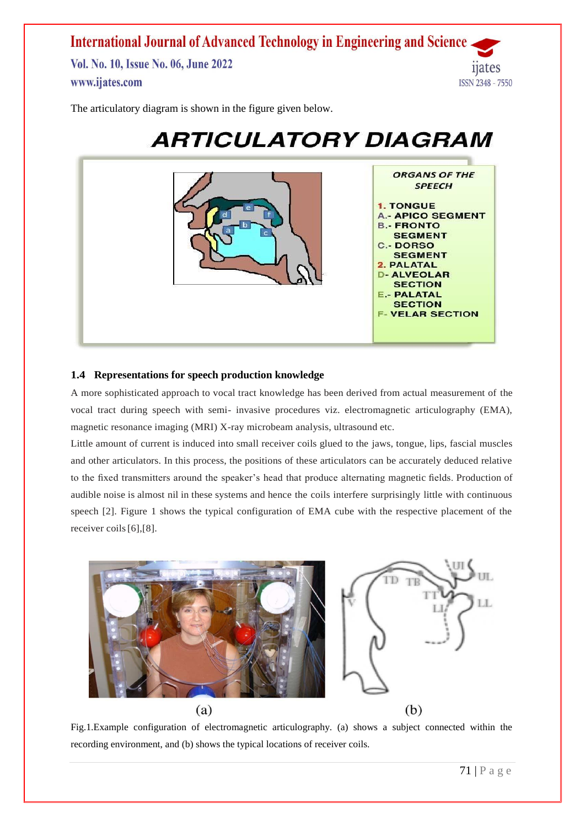**International Journal of Advanced Technology in Engineering and Science** Vol. No. 10, Issue No. 06, June 2022 1ates www.ijates.com **ISSN 2348 - 7550** 

The articulatory diagram is shown in the figure given below.



# **ARTICULATORY DIAGRAM**

# **1.4 Representations for speech production knowledge**

A more sophisticated approach to vocal tract knowledge has been derived from actual measurement of the vocal tract during speech with semi- invasive procedures viz. electromagnetic articulography (EMA), magnetic resonance imaging (MRI) X-ray microbeam analysis, ultrasound etc.

Little amount of current is induced into small receiver coils glued to the jaws, tongue, lips, fascial muscles and other articulators. In this process, the positions of these articulators can be accurately deduced relative to the fixed transmitters around the speaker's head that produce alternating magnetic fields. Production of audible noise is almost nil in these systems and hence the coils interfere surprisingly little with continuous speech [2]. Figure 1 shows the typical configuration of EMA cube with the respective placement of the receiver coils[6],[8].



Fig.1.Example configuration of electromagnetic articulography. (a) shows a subject connected within the recording environment, and (b) shows the typical locations of receiver coils.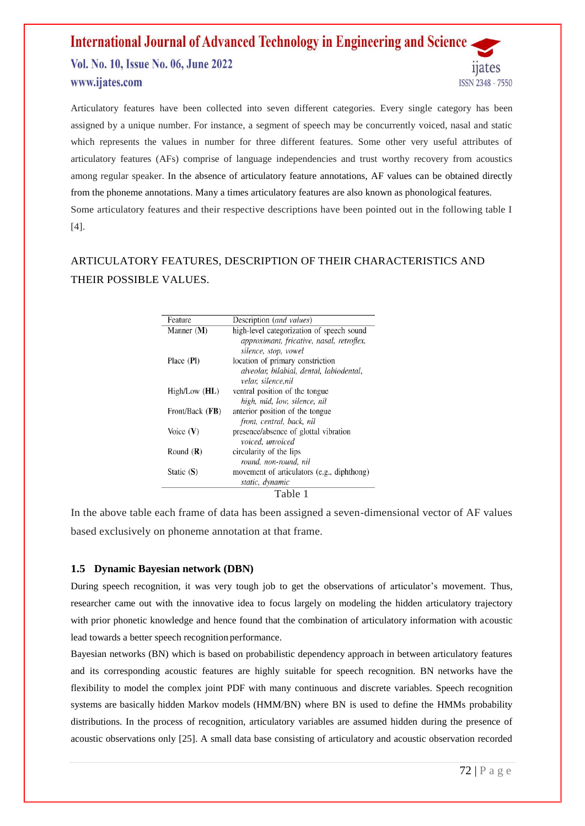Vol. No. 10, Issue No. 06, June 2022 www.ijates.com

Articulatory features have been collected into seven different categories. Every single category has been assigned by a unique number. For instance, a segment of speech may be concurrently voiced, nasal and static which represents the values in number for three different features. Some other very useful attributes of articulatory features (AFs) comprise of language independencies and trust worthy recovery from acoustics among regular speaker. In the absence of articulatory feature annotations, AF values can be obtained directly from the phoneme annotations. Many a times articulatory features are also known as phonological features. Some articulatory features and their respective descriptions have been pointed out in the following table I [4].

# ARTICULATORY FEATURES, DESCRIPTION OF THEIR CHARACTERISTICS AND THEIR POSSIBLE VALUES.

| Feature         | Description (and values)                                          |
|-----------------|-------------------------------------------------------------------|
| Manner $(M)$    | high-level categorization of speech sound                         |
|                 | approximant, fricative, nasal, retroflex,<br>silence, stop, vowel |
| Place (PI)      | location of primary constriction                                  |
|                 | alveolar, bilabial, dental, labiodental,<br>velar. silence.nil    |
| High/Low (HL)   | ventral position of the tongue                                    |
|                 | high, mid, low, silence, nil                                      |
| Front/Back (FB) | anterior position of the tongue                                   |
|                 | front, central, back, nil                                         |
| Voice $(V)$     | presence/absence of glottal vibration                             |
|                 | voiced, unvoiced                                                  |
| Round $(R)$     | circularity of the lips                                           |
|                 | round, non-round, nil                                             |
| Static (S)      | movement of articulators (e.g., diphthong)                        |
|                 | static, dynamic                                                   |
|                 | Table 1                                                           |

In the above table each frame of data has been assigned a seven-dimensional vector of AF values based exclusively on phoneme annotation at that frame.

# **1.5 Dynamic Bayesian network (DBN)**

During speech recognition, it was very tough job to get the observations of articulator's movement. Thus, researcher came out with the innovative idea to focus largely on modeling the hidden articulatory trajectory with prior phonetic knowledge and hence found that the combination of articulatory information with acoustic lead towards a better speech recognition performance.

Bayesian networks (BN) which is based on probabilistic dependency approach in between articulatory features and its corresponding acoustic features are highly suitable for speech recognition. BN networks have the flexibility to model the complex joint PDF with many continuous and discrete variables. Speech recognition systems are basically hidden Markov models (HMM/BN) where BN is used to define the HMMs probability distributions. In the process of recognition, articulatory variables are assumed hidden during the presence of acoustic observations only [25]. A small data base consisting of articulatory and acoustic observation recorded

11ates

**ISSN 2348 - 7550**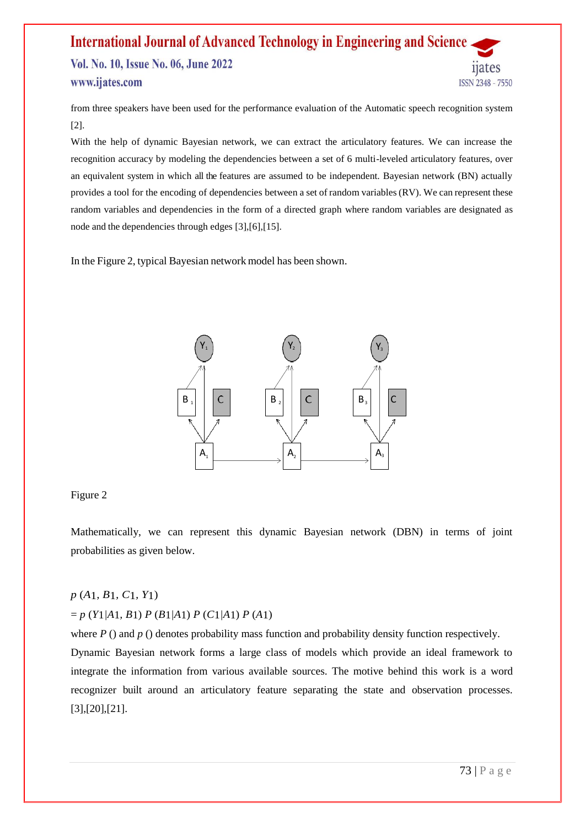# **International Journal of Advanced Technology in Engineering and Science** Vol. No. 10, Issue No. 06, June 2022 11ates www.ijates.com **ISSN 2348 - 7550**

from three speakers have been used for the performance evaluation of the Automatic speech recognition system [2].

With the help of dynamic Bayesian network, we can extract the articulatory features. We can increase the recognition accuracy by modeling the dependencies between a set of 6 multi-leveled articulatory features, over an equivalent system in which all the features are assumed to be independent. Bayesian network (BN) actually provides a tool for the encoding of dependencies between a set of random variables (RV). We can represent these random variables and dependencies in the form of a directed graph where random variables are designated as node and the dependencies through edges [3],[6],[15].

In the Figure 2, typical Bayesian network model has been shown.



### Figure 2

Mathematically, we can represent this dynamic Bayesian network (DBN) in terms of joint probabilities as given below.

# *p* (*A*1*, B*1*, C*1*, Y*1)

# = *p* (*Y*1*|A*1*, B*1) *P* (*B*1*|A*1) *P* (*C*1*|A*1) *P* (*A*1)

where *P* () and *p* () denotes probability mass function and probability density function respectively. Dynamic Bayesian network forms a large class of models which provide an ideal framework to integrate the information from various available sources. The motive behind this work is a word recognizer built around an articulatory feature separating the state and observation processes. [3],[20],[21].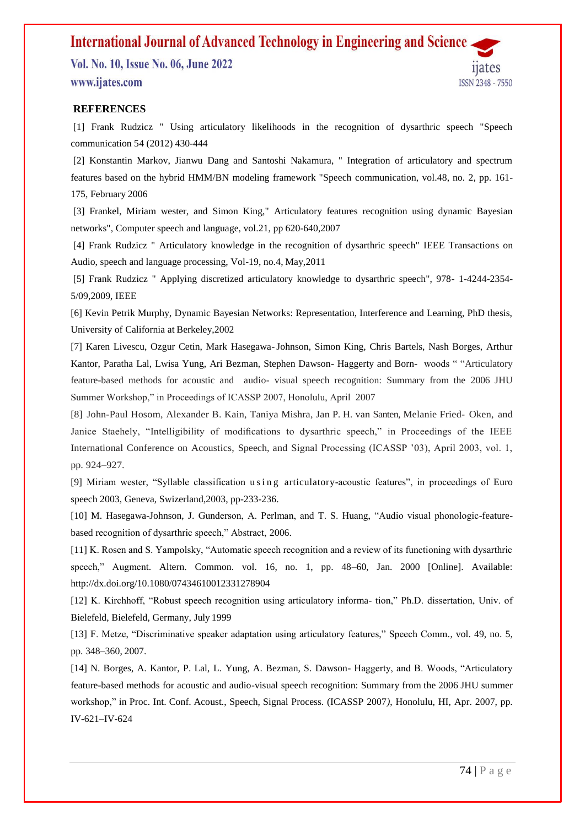Vol. No. 10, Issue No. 06, June 2022 www.ijates.com



### **REFERENCES**

[1] Frank Rudzicz " Using articulatory likelihoods in the recognition of dysarthric speech "Speech communication 54 (2012) 430-444

[2] Konstantin Markov, Jianwu Dang and Santoshi Nakamura, " Integration of articulatory and spectrum features based on the hybrid HMM/BN modeling framework "Speech communication, vol.48, no. 2, pp. 161- 175, February 2006

[3] Frankel, Miriam wester, and Simon King," Articulatory features recognition using dynamic Bayesian networks", Computer speech and language, vol.21, pp 620-640,2007

[4] Frank Rudzicz " Articulatory knowledge in the recognition of dysarthric speech" IEEE Transactions on Audio, speech and language processing, Vol-19, no.4, May,2011

[5] Frank Rudzicz " Applying discretized articulatory knowledge to dysarthric speech", 978- 1-4244-2354- 5/09,2009, IEEE

[6] Kevin Petrik Murphy, Dynamic Bayesian Networks: Representation, Interference and Learning, PhD thesis, University of California at Berkeley,2002

[7] Karen Livescu, Ozgur Cetin, Mark Hasegawa-Johnson, Simon King, Chris Bartels, Nash Borges, Arthur Kantor, Paratha Lal, Lwisa Yung, Ari Bezman, Stephen Dawson- Haggerty and Born- woods " "Articulatory feature-based methods for acoustic and audio- visual speech recognition: Summary from the 2006 JHU Summer Workshop," in Proceedings of ICASSP 2007, Honolulu, April 2007

[8] John-Paul Hosom, Alexander B. Kain, Taniya Mishra, Jan P. H. van Santen, Melanie Fried- Oken, and Janice Staehely, "Intelligibility of modifications to dysarthric speech," in Proceedings of the IEEE International Conference on Acoustics, Speech, and Signal Processing (ICASSP '03), April 2003, vol. 1, pp. 924–927.

[9] Miriam wester, "Syllable classification using articulatory-acoustic features", in proceedings of Euro speech 2003, Geneva, Swizerland,2003, pp-233-236.

[10] M. Hasegawa-Johnson, J. Gunderson, A. Perlman, and T. S. Huang, "Audio visual phonologic-featurebased recognition of dysarthric speech," Abstract, 2006.

[11] K. Rosen and S. Yampolsky, "Automatic speech recognition and a review of its functioning with dysarthric speech," Augment. Altern. Common. vol. 16, no. 1, pp. 48–60, Jan. 2000 [Online]. Available: <http://dx.doi.org/10.1080/07434610012331278904>

[12] K. Kirchhoff, "Robust speech recognition using articulatory informa- tion," Ph.D. dissertation, Univ. of Bielefeld, Bielefeld, Germany, July 1999

[13] F. Metze, "Discriminative speaker adaptation using articulatory features," Speech Comm*.*, vol. 49, no. 5, pp. 348–360, 2007.

[14] N. Borges, A. Kantor, P. Lal, L. Yung, A. Bezman, S. Dawson- Haggerty, and B. Woods, "Articulatory feature-based methods for acoustic and audio-visual speech recognition: Summary from the 2006 JHU summer workshop," in Proc. Int. Conf. Acoust., Speech, Signal Process. (ICASSP 2007*)*, Honolulu, HI, Apr. 2007, pp. IV-621–IV-624